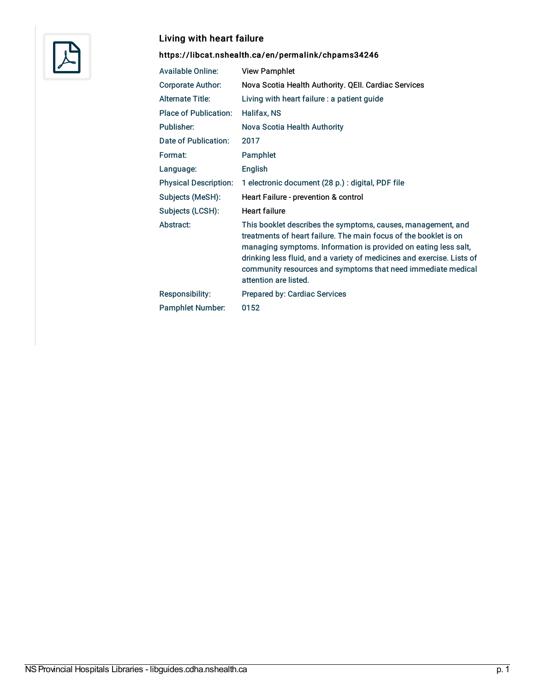

## Living with heart failure

## <https://libcat.nshealth.ca/en/permalink/chpams34246>

| <b>Available Online:</b>     | <b>View Pamphlet</b>                                                                                                                                                                                                                                                                                                                                                   |
|------------------------------|------------------------------------------------------------------------------------------------------------------------------------------------------------------------------------------------------------------------------------------------------------------------------------------------------------------------------------------------------------------------|
| <b>Corporate Author:</b>     | Nova Scotia Health Authority. QEII. Cardiac Services                                                                                                                                                                                                                                                                                                                   |
| <b>Alternate Title:</b>      | Living with heart failure : a patient guide                                                                                                                                                                                                                                                                                                                            |
| <b>Place of Publication:</b> | Halifax, NS                                                                                                                                                                                                                                                                                                                                                            |
| Publisher:                   | Nova Scotia Health Authority                                                                                                                                                                                                                                                                                                                                           |
| Date of Publication:         | 2017                                                                                                                                                                                                                                                                                                                                                                   |
| Format:                      | Pamphlet                                                                                                                                                                                                                                                                                                                                                               |
| Language:                    | English                                                                                                                                                                                                                                                                                                                                                                |
| <b>Physical Description:</b> | 1 electronic document (28 p.) : digital, PDF file                                                                                                                                                                                                                                                                                                                      |
| Subjects (MeSH):             | Heart Failure - prevention & control                                                                                                                                                                                                                                                                                                                                   |
| Subjects (LCSH):             | <b>Heart failure</b>                                                                                                                                                                                                                                                                                                                                                   |
| Abstract:                    | This booklet describes the symptoms, causes, management, and<br>treatments of heart failure. The main focus of the booklet is on<br>managing symptoms. Information is provided on eating less salt,<br>drinking less fluid, and a variety of medicines and exercise. Lists of<br>community resources and symptoms that need immediate medical<br>attention are listed. |
| <b>Responsibility:</b>       | <b>Prepared by: Cardiac Services</b>                                                                                                                                                                                                                                                                                                                                   |
| <b>Pamphlet Number:</b>      | 0152                                                                                                                                                                                                                                                                                                                                                                   |